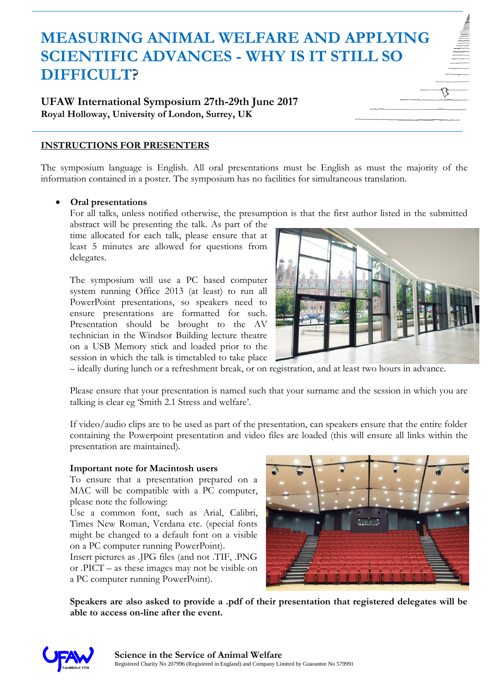# **MEASURING ANIMAL WELFARE AND APPLYING SCIENTIFIC ADVANCES - WHY IS IT STILL SO DIFFICULT?**

# **UFAW International Symposium 27th-29th June 2017 Royal Holloway, University of London, Surrey, UK**

# **INSTRUCTIONS FOR PRESENTERS**

The symposium language is English. All oral presentations must be English as must the majority of the information contained in a poster. The symposium has no facilities for simultaneous translation.

## **Oral presentations**

For all talks, unless notified otherwise, the presumption is that the first author listed in the submitted abstract will be presenting the talk. As part of the

time allocated for each talk, please ensure that at least 5 minutes are allowed for questions from delegates.

The symposium will use a PC based computer system running Office 2013 (at least) to run all PowerPoint presentations, so speakers need to ensure presentations are formatted for such. Presentation should be brought to the AV technician in the Windsor Building lecture theatre on a USB Memory stick and loaded prior to the session in which the talk is timetabled to take place



– ideally during lunch or a refreshment break, or on registration, and at least two hours in advance.

Please ensure that your presentation is named such that your surname and the session in which you are talking is clear eg 'Smith 2.1 Stress and welfare'.

If video/audio clips are to be used as part of the presentation, can speakers ensure that the entire folder containing the Powerpoint presentation and video files are loaded (this will ensure all links within the presentation are maintained).

#### **Important note for Macintosh users**

To ensure that a presentation prepared on a MAC will be compatible with a PC computer, please note the following:

Use a common font, such as Arial, Calibri, Times New Roman, Verdana etc. (special fonts might be changed to a default font on a visible on a PC computer running PowerPoint).

Insert pictures as .JPG files (and not .TIF, .PNG or .PICT – as these images may not be visible on a PC computer running PowerPoint).



**Speakers are also asked to provide a .pdf of their presentation that registered delegates will be able to access on-line after the event.**